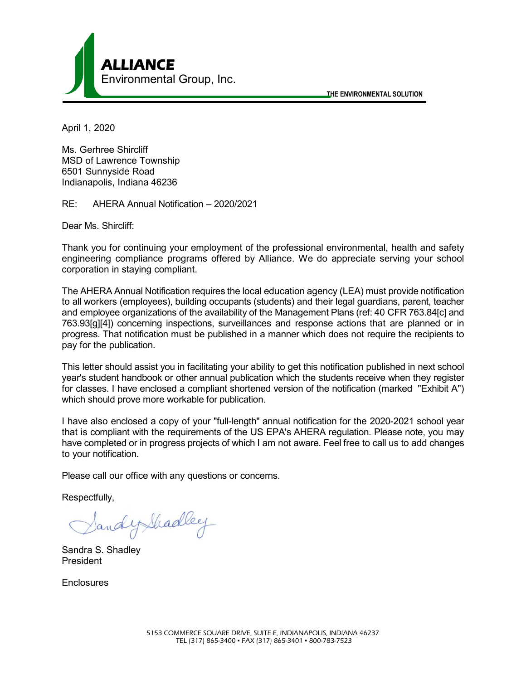

**THE ENVIRONMENTAL SOLUTION**

April 1, 2020

Ms. Gerhree Shircliff MSD of Lawrence Township 6501 Sunnyside Road Indianapolis, Indiana 46236

RE: AHERA Annual Notification – 2020/2021

Dear Ms. Shircliff:

Thank you for continuing your employment of the professional environmental, health and safety engineering compliance programs offered by Alliance. We do appreciate serving your school corporation in staying compliant.

The AHERA Annual Notification requires the local education agency (LEA) must provide notification to all workers (employees), building occupants (students) and their legal guardians, parent, teacher and employee organizations of the availability of the Management Plans (ref: 40 CFR 763.84[c] and 763.93[g][4]) concerning inspections, surveillances and response actions that are planned or in progress. That notification must be published in a manner which does not require the recipients to pay for the publication.

This letter should assist you in facilitating your ability to get this notification published in next school year's student handbook or other annual publication which the students receive when they register for classes. I have enclosed a compliant shortened version of the notification (marked "Exhibit A") which should prove more workable for publication.

I have also enclosed a copy of your "full-length" annual notification for the 2020-2021 school year that is compliant with the requirements of the US EPA's AHERA regulation. Please note, you may have completed or in progress projects of which I am not aware. Feel free to call us to add changes to your notification.

Please call our office with any questions or concerns.

Respectfully,

SandyShadley

Sandra S. Shadley President

**Enclosures**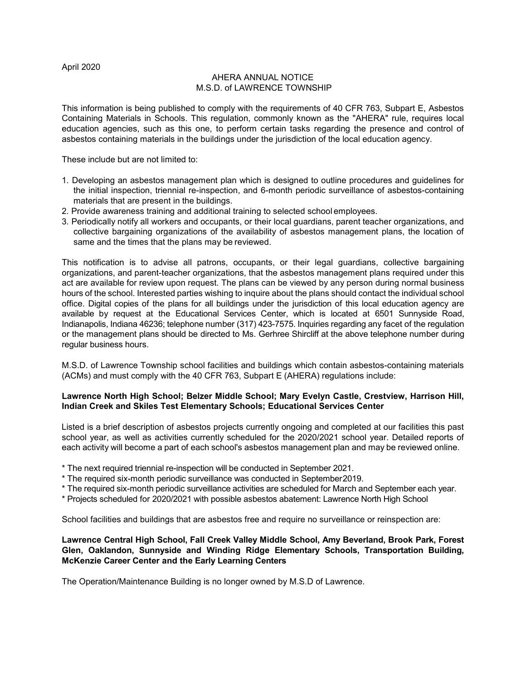## AHERA ANNUAL NOTICE M.S.D. of LAWRENCE TOWNSHIP

This information is being published to comply with the requirements of 40 CFR 763, Subpart E, Asbestos Containing Materials in Schools. This regulation, commonly known as the "AHERA" rule, requires local education agencies, such as this one, to perform certain tasks regarding the presence and control of asbestos containing materials in the buildings under the jurisdiction of the local education agency.

These include but are not limited to:

- 1. Developing an asbestos management plan which is designed to outline procedures and guidelines for the initial inspection, triennial re-inspection, and 6-month periodic surveillance of asbestos-containing materials that are present in the buildings.
- 2. Provide awareness training and additional training to selected school employees.
- 3. Periodically notify all workers and occupants, or their local guardians, parent teacher organizations, and collective bargaining organizations of the availability of asbestos management plans, the location of same and the times that the plans may be reviewed.

This notification is to advise all patrons, occupants, or their legal guardians, collective bargaining organizations, and parent-teacher organizations, that the asbestos management plans required under this act are available for review upon request. The plans can be viewed by any person during normal business hours of the school. Interested parties wishing to inquire about the plans should contact the individual school office. Digital copies of the plans for all buildings under the jurisdiction of this local education agency are available by request at the Educational Services Center, which is located at 6501 Sunnyside Road, Indianapolis, Indiana 46236; telephone number (317) 423-7575. Inquiries regarding any facet of the regulation or the management plans should be directed to Ms. Gerhree Shircliff at the above telephone number during regular business hours.

M.S.D. of Lawrence Township school facilities and buildings which contain asbestos-containing materials (ACMs) and must comply with the 40 CFR 763, Subpart E (AHERA) regulations include:

## **Lawrence North High School; Belzer Middle School; Mary Evelyn Castle, Crestview, Harrison Hill, Indian Creek and Skiles Test Elementary Schools; Educational Services Center**

Listed is a brief description of asbestos projects currently ongoing and completed at our facilities this past school year, as well as activities currently scheduled for the 2020/2021 school year. Detailed reports of each activity will become a part of each school's asbestos management plan and may be reviewed online.

- \* The next required triennial re-inspection will be conducted in September 2021.
- \* The required six-month periodic surveillance was conducted in September2019.
- \* The required six-month periodic surveillance activities are scheduled for March and September each year.
- \* Projects scheduled for 2020/2021 with possible asbestos abatement: Lawrence North High School

School facilities and buildings that are asbestos free and require no surveillance or reinspection are:

## **Lawrence Central High School, Fall Creek Valley Middle School, Amy Beverland, Brook Park, Forest Glen, Oaklandon, Sunnyside and Winding Ridge Elementary Schools, Transportation Building, McKenzie Career Center and the Early Learning Centers**

The Operation/Maintenance Building is no longer owned by M.S.D of Lawrence.